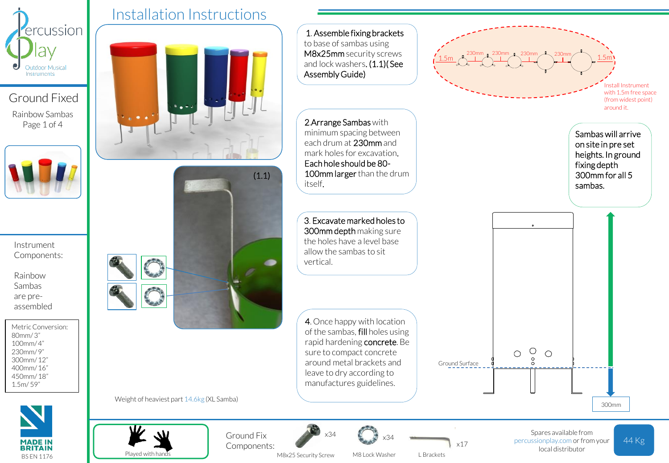

Ground Fixed Rainbow Sambas Page 1 of 4



Instrument Components:

Rainbow Sambas are preassembled

Metric Conversion: 80mm/ 3" 100mm/ 4" 230mm/ 9" 300mm/ 12" 400mm/ 16" 450mm/ 18" 1.5m/ 59"



Installation Instructions



1. Assemble fixing brackets to base of sambas using M8x25mm security screws 230mm 230mm 1 230mm <sup>1</sup> 230mm  $1.5$ m  $A$   $1.5$ m and lock washers. (1.1) (See Assembly Guide) nstall Instrument with 1.5m free space (from widest point) around it. 2.Arrange Sambas with minimum spacing between Sambas will arrive each drum at 230mm and on site in pre set mark holes for excavation. heights. In ground Each hole should be 80 fixing depth 100mm larger than the drum 300mm for all 5 itself. sambas. 3. Excavate marked holes to 300mm depth making sure the holes have a level base allow the sambas to sit vertical. 4. Once happy with location of the sambas, fill holes using rapid hardening concrete. Be  $\circ$ sure to compact concrete  $\circ$  $\circ$ around metal brackets and Ground Surface leave to dry according to

Weight of heaviest part 14.6kg (XL Samba)



Ground Fix Components:



manufactures guidelines.

x34

44 Kg Spares available from percussionplay.com or from your local distributor

300mm

M8x25 Security Screw

M8 Lock Washer

L Brackets

x17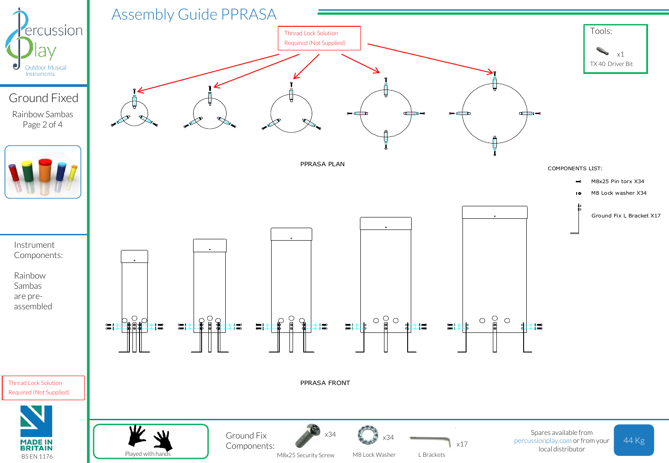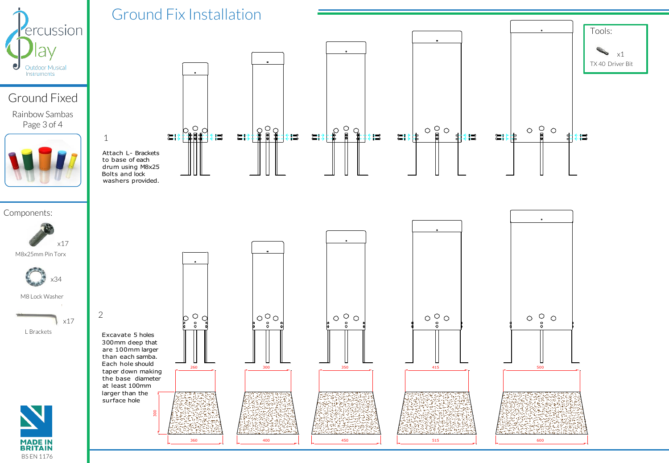

## Ground Fixed

Rainbow Sambas Page 3 of 4



## $\begin{smallmatrix} \bigcirc & \bigcirc & \bigcirc \\ \text{if} & \text{if} & \text{if} \end{smallmatrix}$  $\overline{\mathbf{B}}$  $\circ$   $\circ$  $\begin{array}{c}\n\circ & \circ \\
\circ & \circ\n\end{array}$  $\circlearrowright$  $\frac{1}{2}$  $\frac{1}{\frac{1}{2}}$  $\sum \frac{1}{2}$ ≔∷≵‡ 非≢≡  $\xi =$ ■■ ا≣ِ خ  $\equiv$  3 i d 珇 转票 । ≋‡‡ 1 Attach L- Brackets to base of each drum using M8x25 Bolts and lock washers provided. Components: x17 M8x25mm Pin Torx x34 M8 Lock Washer 2  $\begin{bmatrix} 0 & 0 & 0 \\ 0 & 0 & 0 \\ 0 & 0 & 0 \end{bmatrix}$  $\begin{smallmatrix} \circ & \circ \\ \circ & \circ \\ \circ & \circ \end{smallmatrix}$  $\circ \, \mathop{\circ}\limits_{\circ}^{\circ}\circ$  $\circ\circ$  $O^{\circ}O$  $\circ$ x17  $\alpha$ L Brackets Excavate 5 holes 300mm deep that are 100mm larger than each samba. Each hole should 260 300 350 415 500 taper down making the base diameter at least 100mm larger than the surface hole  $\epsilon$ **MADE IN<br>BRITAIN** 360 | | 400 | | 450 | | 515 | | 600

BS EN 1176